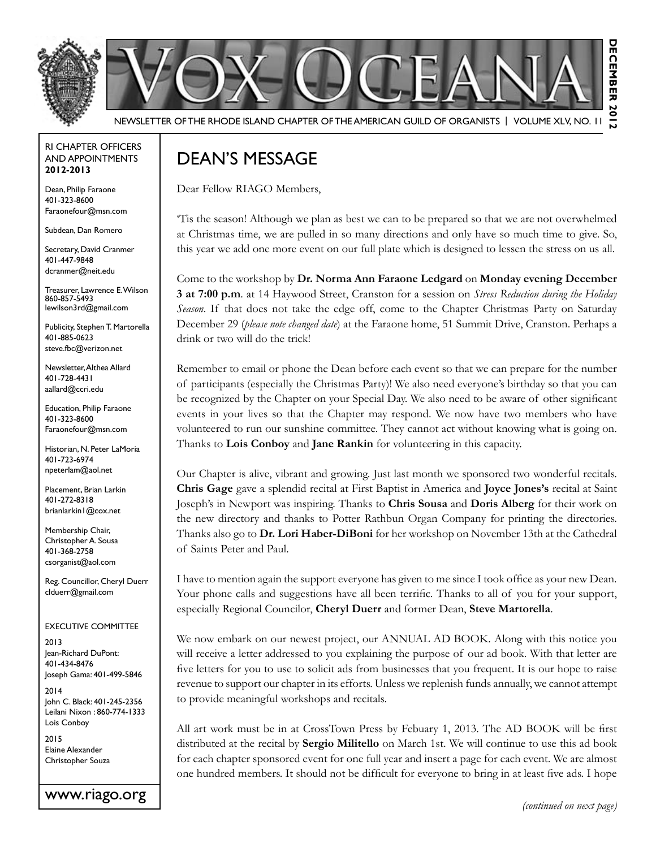

#### RI Chapter Officers and Appointments **2012-2013**

Dean, Philip Faraone 401-323-8600 Faraonefour@msn.com

Subdean, Dan Romero

Secretary, David Cranmer 401-447-9848 dcranmer@neit.edu

Treasurer, Lawrence E. Wilson 860-857-5493 lewilson3rd@gmail.com

Publicity, Stephen T. Martorella 401-885-0623 steve.fbc@verizon.net

Newsletter, Althea Allard 401-728-4431 aallard@ccri.edu

Education, Philip Faraone 401-323-8600 Faraonefour@msn.com

Historian, N. Peter LaMoria 401-723-6974 npeterlam@aol.net

Placement, Brian Larkin 401-272-8318 brianlarkin1@cox.net

Membership Chair, Christopher A. Sousa 401-368-2758 csorganist@aol.com

Reg. Councillor, Cheryl Duerr clduerr@gmail.com

#### Executive Committee

2013 Jean-Richard DuPont: 401-434-8476 Joseph Gama: 401-499-5846

2014 John C. Black: 401-245-2356 Leilani Nixon : 860-774-1333 Lois Conboy

2015 Elaine Alexander Christopher Souza

www.riago.org *(continued on next page)*

# Dean's Message

Dear Fellow RIAGO Members,

'Tis the season! Although we plan as best we can to be prepared so that we are not overwhelmed at Christmas time, we are pulled in so many directions and only have so much time to give. So, this year we add one more event on our full plate which is designed to lessen the stress on us all.

Come to the workshop by **Dr. Norma Ann Faraone Ledgard** on **Monday evening December 3 at 7:00 p.m**. at 14 Haywood Street, Cranston for a session on *Stress Reduction during the Holiday Season*. If that does not take the edge off, come to the Chapter Christmas Party on Saturday December 29 (*please note changed date*) at the Faraone home, 51 Summit Drive, Cranston. Perhaps a drink or two will do the trick!

Remember to email or phone the Dean before each event so that we can prepare for the number of participants (especially the Christmas Party)! We also need everyone's birthday so that you can be recognized by the Chapter on your Special Day. We also need to be aware of other significant events in your lives so that the Chapter may respond. We now have two members who have volunteered to run our sunshine committee. They cannot act without knowing what is going on. Thanks to **Lois Conboy** and **Jane Rankin** for volunteering in this capacity.

Our Chapter is alive, vibrant and growing. Just last month we sponsored two wonderful recitals. **Chris Gage** gave a splendid recital at First Baptist in America and **Joyce Jones's** recital at Saint Joseph's in Newport was inspiring. Thanks to **Chris Sousa** and **Doris Alberg** for their work on the new directory and thanks to Potter Rathbun Organ Company for printing the directories. Thanks also go to **Dr. Lori Haber-DiBoni** for her workshop on November 13th at the Cathedral of Saints Peter and Paul.

I have to mention again the support everyone has given to me since I took office as your new Dean. Your phone calls and suggestions have all been terrific. Thanks to all of you for your support, especially Regional Councilor, **Cheryl Duerr** and former Dean, **Steve Martorella**.

We now embark on our newest project, our ANNUAL AD BOOK. Along with this notice you will receive a letter addressed to you explaining the purpose of our ad book. With that letter are five letters for you to use to solicit ads from businesses that you frequent. It is our hope to raise revenue to support our chapter in its efforts. Unless we replenish funds annually, we cannot attempt to provide meaningful workshops and recitals.

All art work must be in at CrossTown Press by Febuary 1, 2013. The AD BOOK will be first distributed at the recital by **Sergio Militello** on March 1st. We will continue to use this ad book for each chapter sponsored event for one full year and insert a page for each event. We are almost one hundred members. It should not be difficult for everyone to bring in at least five ads. I hope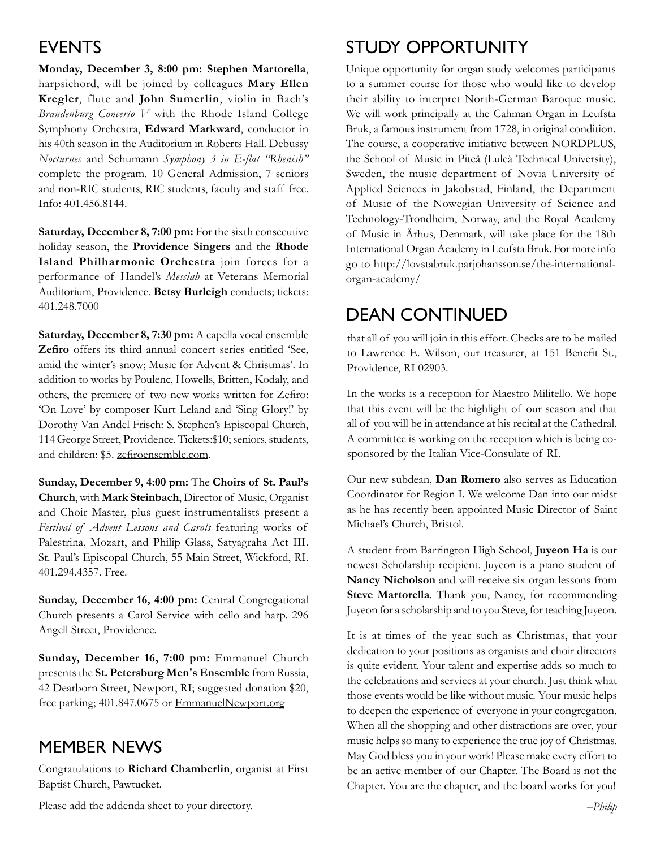## **EVENTS**

**Monday, December 3, 8:00 pm: Stephen Martorella**, harpsichord, will be joined by colleagues **Mary Ellen Kregler**, flute and **John Sumerlin**, violin in Bach's *Brandenburg Concerto V* with the Rhode Island College Symphony Orchestra, **Edward Markward**, conductor in his 40th season in the Auditorium in Roberts Hall. Debussy *Nocturnes* and Schumann *Symphony 3 in E-flat "Rhenish"*  complete the program. 10 General Admission, 7 seniors and non-RIC students, RIC students, faculty and staff free. Info: 401.456.8144.

**Saturday, December 8, 7:00 pm:** For the sixth consecutive holiday season, the **Providence Singers** and the **Rhode Island Philharmonic Orchestra** join forces for a performance of Handel's *Messiah* at Veterans Memorial Auditorium, Providence. **Betsy Burleigh** conducts; tickets: 401.248.7000

**Saturday, December 8, 7:30 pm:** A capella vocal ensemble **Zefiro** offers its third annual concert series entitled 'See, amid the winter's snow; Music for Advent & Christmas'. In addition to works by Poulenc, Howells, Britten, Kodaly, and others, the premiere of two new works written for Zefiro: 'On Love' by composer Kurt Leland and 'Sing Glory!' by Dorothy Van Andel Frisch: S. Stephen's Episcopal Church, 114 George Street, Providence. Tickets:\$10; seniors, students, and children: \$5. zefiroensemble.com.

**Sunday, December 9, 4:00 pm:** The **Choirs of St. Paul's Church**, with **Mark Steinbach**, Director of Music, Organist and Choir Master, plus guest instrumentalists present a *Festival of Advent Lessons and Carols* featuring works of Palestrina, Mozart, and Philip Glass, Satyagraha Act III. St. Paul's Episcopal Church, 55 Main Street, Wickford, RI. 401.294.4357. Free.

**Sunday, December 16, 4:00 pm:** Central Congregational Church presents a Carol Service with cello and harp. 296 Angell Street, Providence.

Sunday, December 16, 7:00 pm: Emmanuel Church presents the **St. Petersburg Men's Ensemble** from Russia, 42 Dearborn Street, Newport, RI; suggested donation \$20, free parking; 401.847.0675 or EmmanuelNewport.org

## Member News

Congratulations to **Richard Chamberlin**, organist at First Baptist Church, Pawtucket.

Please add the addenda sheet to your directory.

# Study Opportunity

Unique opportunity for organ study welcomes participants to a summer course for those who would like to develop their ability to interpret North-German Baroque music. We will work principally at the Cahman Organ in Leufsta Bruk, a famous instrument from 1728, in original condition. The course, a cooperative initiative between NORDPLUS, the School of Music in Piteå (Luleå Technical University), Sweden, the music department of Novia University of Applied Sciences in Jakobstad, Finland, the Department of Music of the Nowegian University of Science and Technology-Trondheim, Norway, and the Royal Academy of Music in Århus, Denmark, will take place for the 18th International Organ Academy in Leufsta Bruk. For more info go to http://lovstabruk.parjohansson.se/the-internationalorgan-academy/

# Dean continued

that all of you will join in this effort. Checks are to be mailed to Lawrence E. Wilson, our treasurer, at 151 Benefit St., Providence, RI 02903.

In the works is a reception for Maestro Militello. We hope that this event will be the highlight of our season and that all of you will be in attendance at his recital at the Cathedral. A committee is working on the reception which is being cosponsored by the Italian Vice-Consulate of RI.

Our new subdean, **Dan Romero** also serves as Education Coordinator for Region I. We welcome Dan into our midst as he has recently been appointed Music Director of Saint Michael's Church, Bristol.

A student from Barrington High School, **Juyeon Ha** is our newest Scholarship recipient. Juyeon is a piano student of **Nancy Nicholson** and will receive six organ lessons from **Steve Martorella**. Thank you, Nancy, for recommending Juyeon for a scholarship and to you Steve, for teaching Juyeon.

It is at times of the year such as Christmas, that your dedication to your positions as organists and choir directors is quite evident. Your talent and expertise adds so much to the celebrations and services at your church. Just think what those events would be like without music. Your music helps to deepen the experience of everyone in your congregation. When all the shopping and other distractions are over, your music helps so many to experience the true joy of Christmas. May God bless you in your work! Please make every effort to be an active member of our Chapter. The Board is not the Chapter. You are the chapter, and the board works for you!